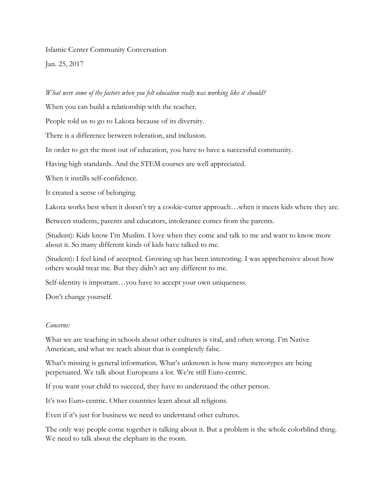Islamic Center Community Conversation

Jan. 25, 2017

## *What were some of the factors when you felt education really was working like it should?*

When you can build a relationship with the teacher.

People told us to go to Lakota because of its diversity.

There is a difference between toleration, and inclusion.

In order to get the most out of education, you have to have a successful community.

Having high standards. And the STEM courses are well appreciated.

When it instills self-confidence.

It created a sense of belonging.

Lakota works best when it doesn't try a cookie-cutter approach…when it meets kids where they are.

Between students, parents and educators, intolerance comes from the parents.

(Student): Kids know I'm Muslim. I love when they come and talk to me and want to know more about it. So many different kinds of kids have talked to me.

(Student): I feel kind of accepted. Growing up has been interesting. I was apprehensive about how others would treat me. But they didn't act any different to me.

Self-identity is important…you have to accept your own uniqueness.

Don't change yourself.

## *Concerns:*

What we are teaching in schools about other cultures is vital, and often wrong. I'm Native American, and what we teach about that is completely false.

What's missing is general information. What's unknown is how many stereotypes are being perpetuated. We talk about Europeans a lot. We're still Euro-centric.

If you want your child to succeed, they have to understand the other person.

It's too Euro-centric. Other countries learn about all religions.

Even if it's just for business we need to understand other cultures.

The only way people come together is talking about it. But a problem is the whole colorblind thing. We need to talk about the elephant in the room.